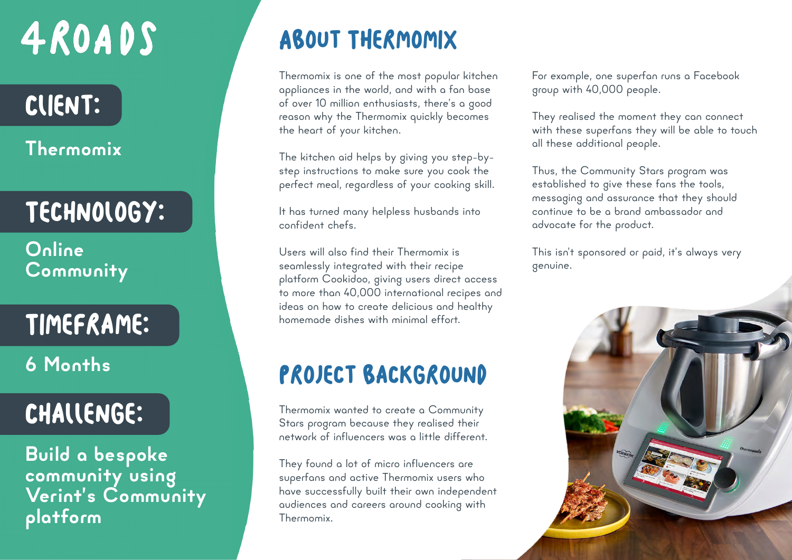## 4ROADS

## Client:

#### **Thermomix**

## Technology:

**Online Community**

## Timeframe:

**6 Months**

### Challenge:

**Build a bespoke community using Verint's Community platform**

## About THermomix

Thermomix is one of the most popular kitchen appliances in the world, and with a fan base of over 10 million enthusiasts, there's a good reason why the Thermomix quickly becomes the heart of your kitchen.

The kitchen aid helps by giving you step-bystep instructions to make sure you cook the perfect meal, regardless of your cooking skill.

It has turned many helpless husbands into confident chefs.

Users will also find their Thermomix is seamlessly integrated with their recipe platform Cookidoo, giving users direct access to more than 40,000 international recipes and ideas on how to create delicious and healthy homemade dishes with minimal effort.

#### PROJECT BACKGROUND

Thermomix wanted to create a Community Stars program because they realised their network of influencers was a little different.

They found a lot of micro influencers are superfans and active Thermomix users who have successfully built their own independent audiences and careers around cooking with Thermomix.

For example, one superfan runs a Facebook group with 40,000 people.

They realised the moment they can connect with these superfans they will be able to touch all these additional people.

Thus, the Community Stars program was established to give these fans the tools, messaging and assurance that they should continue to be a brand ambassador and advocate for the product.

This isn't sponsored or paid, it's always very genuine.

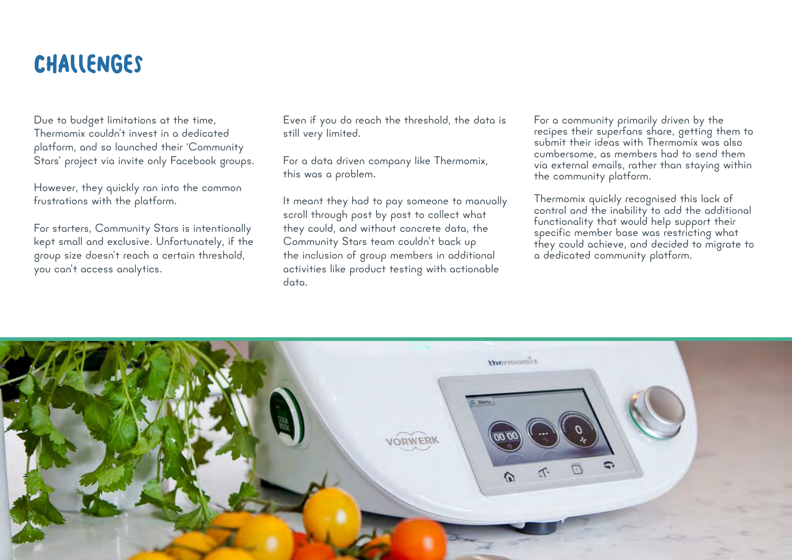#### **CHALLENGES**

Due to budget limitations at the time, Thermomix couldn't invest in a dedicated platform, and so launched their 'Community Stars' project via invite only Facebook groups.

However, they quickly ran into the common frustrations with the platform.

For starters, Community Stars is intentionally kept small and exclusive. Unfortunately, if the group size doesn't reach a certain threshold, you can't access analytics.

Even if you do reach the threshold, the data is still very limited.

For a data driven company like Thermomix, this was a problem.

It meant they had to pay someone to manually scroll through post by post to collect what they could, and without concrete data, the Community Stars team couldn't back up the inclusion of group members in additional activities like product testing with actionable data.

For a community primarily driven by the recipes their superfans share, getting them to submit their ideas with Thermomix was also cumbersome, as members had to send them via external emails, rather than staying within the community platform.

Thermomix quickly recognised this lack of control and the inability to add the additional functionality that would help support their specific member base was restricting what they could achieve, and decided to migrate to a dedicated community platform.

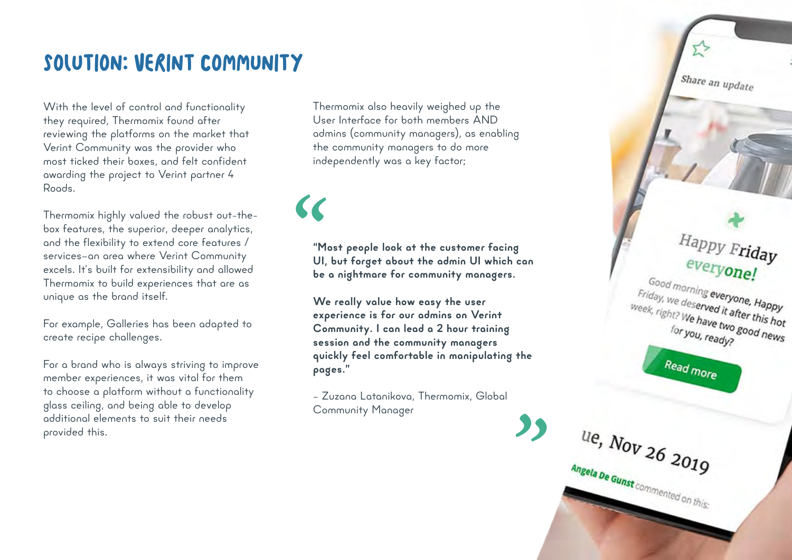#### Solution: Verint Community

With the level of control and functionality they required, Thermomix found after reviewing the platforms on the market that Verint Community was the provider who most ticked their boxes, and felt confident awarding the project to Verint partner 4 Roods.

Thermomix highly valued the robust out-thebox features, the superior, deeper analytics, and the flexibility to extend core features / services—an area where Verint Community excels. It's built for extensibility and allowed Thermomix to build experiences that are as unique as the brand itself.

For example, Galleries has been adapted to create recipe challenges.

For a brand who is always striving to improve member experiences, it was vital for them to choose a platform without a functionality glass ceiling, and being able to develop additional elements to suit their needs provided this.

Thermomix also heavily weighed up the User Interface for both members AND admins (community managers), as enabling the community managers to do more independently was a key factor;

 $\epsilon$ 

**"Most people look at the customer facing UI, but forget about the admin UI which can be a nightmare for community managers.** 

**We really value how easy the user experience is for our admins on Verint Community. I can lead a 2 hour training session and the community managers quickly feel comfortable in manipulating the pages."**

– Zuzana Latanikova, Thermomix, Global Community Manager

<u>"</u>

U.e.,  $N_{OV}$  26 2019

Angela De Gunst commented on this:

Share an update Happy Friday everyone! Good morning everyone, Happy Friday, we deserved it after this hot<br>week, right? We have two good ... week, right? We have two good news<br>for you, ready? for you, ready? Read more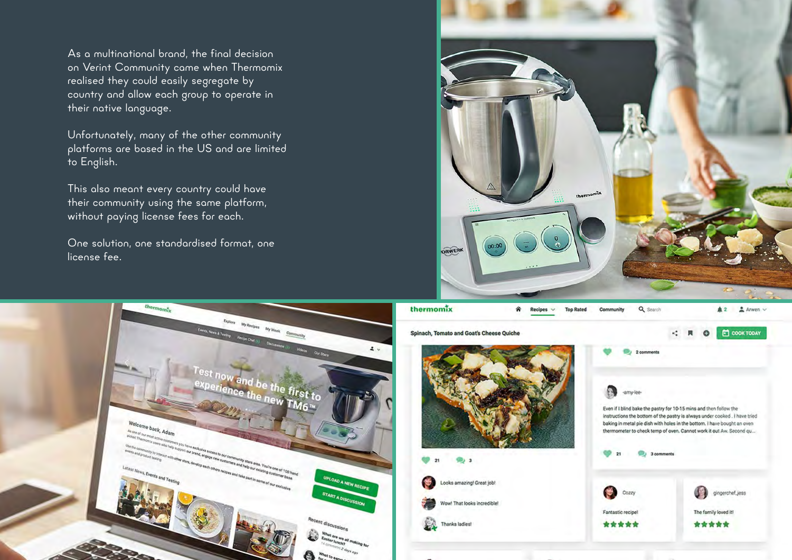As a multinational brand, the final decision on Verint Community came when Thermomix realised they could easily segregate by country and allow each group to operate in their native language.

Unfortunately, many of the other community platforms are based in the US and are limited to English.

This also meant every country could have their community using the same platform, without paying license fees for each.

One solution, one standardised format, one license fee.





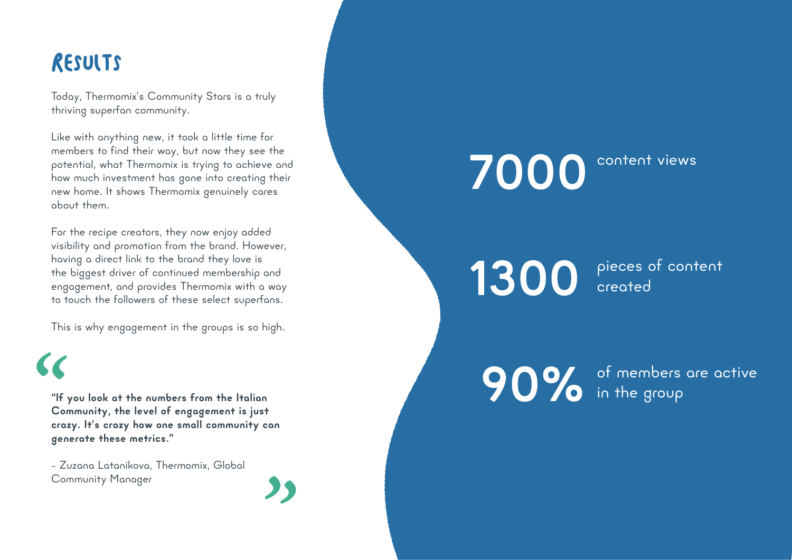#### Results

 $\epsilon$ 

Today, Thermomix's Community Stars is a truly thriving superfan community.

Like with anything new, it took a little time for members to find their way, but now they see the potential, what Thermomix is trying to achieve and how much investment has gone into creating their new home. It shows Thermomix genuinely cares about them.

For the recipe creators, they now enjoy added visibility and promotion from the brand. However, having a direct link to the brand they love is the biggest driver of continued membership and engagement, and provides Thermomix with a way to touch the followers of these select superfans.

This is why engagement in the groups is so high.

**"If you look at the numbers from the Italian Community, the level of engagement is just crazy. It's crazy how one small community can generate these metrics."**  <u>"</u>

- Zuzana Latanikova, Thermomix, Global Community Manager



1300 pieces of content

**90%** of members are active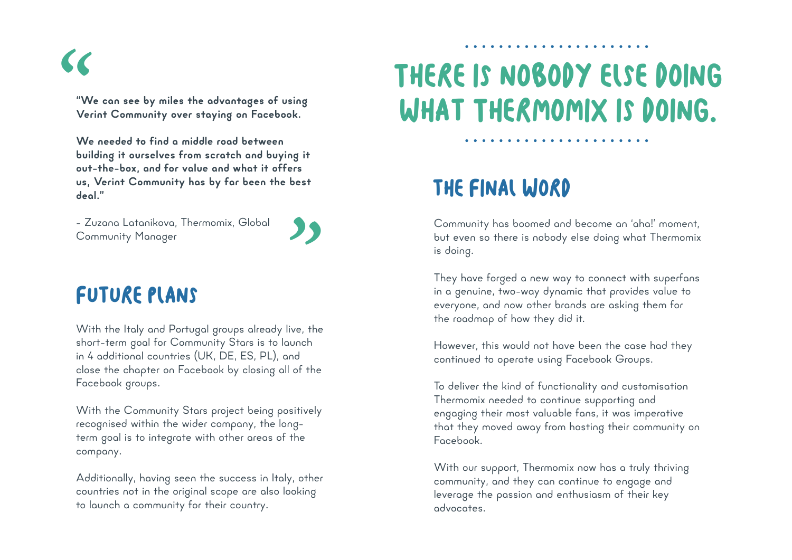$\epsilon$ 

**"We can see by miles the advantages of using Verint Community over staying on Facebook.** 

**We needed to find a middle road between building it ourselves from scratch and buying it out-the-box, and for value and what it offers us, Verint Community has by far been the best deal."**

- Zuzana Latanikova, Thermomix, Global Community Manager

## "<br>"

#### FUTURE PLANS

With the Italy and Portugal groups already live, the short-term goal for Community Stars is to launch in 4 additional countries (UK, DE, ES, PL), and close the chapter on Facebook by closing all of the Facebook groups.

With the Community Stars project being positively recognised within the wider company, the longterm goal is to integrate with other areas of the company.

Additionally, having seen the success in Italy, other countries not in the original scope are also looking to launch a community for their country.

## There is nobody else doing what Thermomix is doing.

#### the Final Word

Community has boomed and become an 'aha!' moment, but even so there is nobody else doing what Thermomix is doing.

. . . . . . . . . . . . . . . . . .

They have forged a new way to connect with superfans in a genuine, two-way dynamic that provides value to everyone, and now other brands are asking them for the roadmap of how they did it.

However, this would not have been the case had they continued to operate using Facebook Groups.

To deliver the kind of functionality and customisation Thermomix needed to continue supporting and engaging their most valuable fans, it was imperative that they moved away from hosting their community on Facebook.

With our support, Thermomix now has a truly thriving community, and they can continue to engage and leverage the passion and enthusiasm of their key advocates.